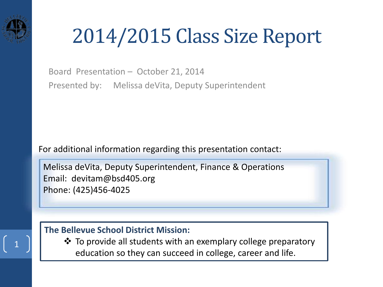

## 2014/2015 Class Size Report

Board Presentation – October 21, 2014 Presented by: Melissa deVita, Deputy Superintendent

For additional information regarding this presentation contact:

Melissa deVita, Deputy Superintendent, Finance & Operations Email: devitam@bsd405.org Phone: (425)456-4025

### **The Bellevue School District Mission:**

 $\triangle$  To provide all students with an exemplary college preparatory education so they can succeed in college, career and life.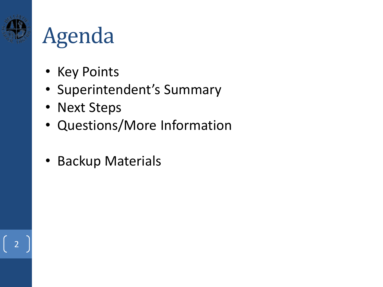

## Agenda

- Key Points
- Superintendent's Summary
- Next Steps
- Questions/More Information
- Backup Materials

2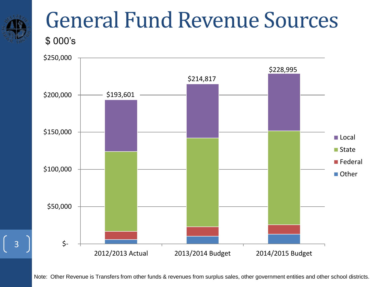

## General Fund Revenue Sources

\$ 000's



Note: Other Revenue is Transfers from other funds & revenues from surplus sales, other government entities and other school districts.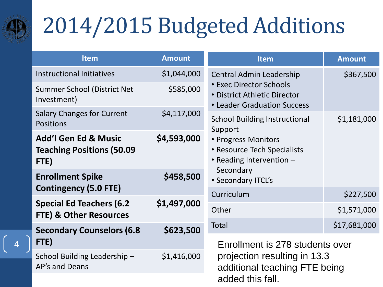

# 2014/2015 Budgeted Additions

| <b>Item</b>                                                                 | <b>Amount</b> | <b>Item</b>                                                                                   | <b>Amount</b> |  |  |
|-----------------------------------------------------------------------------|---------------|-----------------------------------------------------------------------------------------------|---------------|--|--|
| <b>Instructional Initiatives</b>                                            | \$1,044,000   | <b>Central Admin Leadership</b>                                                               | \$367,500     |  |  |
| Summer School (District Net<br>Investment)                                  | \$585,000     | <b>• Exec Director Schools</b><br>• District Athletic Director<br>• Leader Graduation Success |               |  |  |
| <b>Salary Changes for Current</b><br><b>Positions</b>                       | \$4,117,000   | <b>School Building Instructional</b><br>Support                                               | \$1,181,000   |  |  |
| <b>Add'l Gen Ed &amp; Music</b><br><b>Teaching Positions (50.09</b><br>FTE) | \$4,593,000   | • Progress Monitors<br>• Resource Tech Specialists<br>• Reading Intervention -                |               |  |  |
| <b>Enrollment Spike</b><br><b>Contingency (5.0 FTE)</b>                     | \$458,500     | Secondary<br>• Secondary ITCL's                                                               |               |  |  |
|                                                                             |               | Curriculum                                                                                    | \$227,500     |  |  |
| <b>Special Ed Teachers (6.2</b><br><b>FTE) &amp; Other Resources</b>        | \$1,497,000   | Other                                                                                         | \$1,571,000   |  |  |
| \$623,500<br><b>Secondary Counselors (6.8</b>                               |               | <b>Total</b><br>\$17,681,000                                                                  |               |  |  |
| FTE)                                                                        |               | Enrollment is 278 students over                                                               |               |  |  |
| School Building Leadership-<br>AP's and Deans                               | \$1,416,000   | projection resulting in 13.3<br>additional teaching FTE being                                 |               |  |  |
|                                                                             |               | added this fall.                                                                              |               |  |  |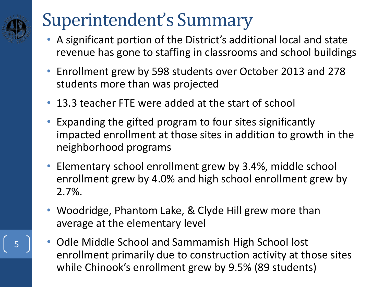## Superintendent's Summary

- A significant portion of the District's additional local and state revenue has gone to staffing in classrooms and school buildings
- Enrollment grew by 598 students over October 2013 and 278 students more than was projected
- 13.3 teacher FTE were added at the start of school
- Expanding the gifted program to four sites significantly impacted enrollment at those sites in addition to growth in the neighborhood programs
- Elementary school enrollment grew by 3.4%, middle school enrollment grew by 4.0% and high school enrollment grew by 2.7%.
- Woodridge, Phantom Lake, & Clyde Hill grew more than average at the elementary level
- Odle Middle School and Sammamish High School lost enrollment primarily due to construction activity at those sites while Chinook's enrollment grew by 9.5% (89 students)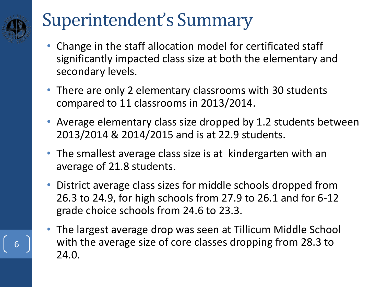## Superintendent's Summary

- Change in the staff allocation model for certificated staff significantly impacted class size at both the elementary and secondary levels.
- There are only 2 elementary classrooms with 30 students compared to 11 classrooms in 2013/2014.
- Average elementary class size dropped by 1.2 students between 2013/2014 & 2014/2015 and is at 22.9 students.
- The smallest average class size is at kindergarten with an average of 21.8 students.
- District average class sizes for middle schools dropped from 26.3 to 24.9, for high schools from 27.9 to 26.1 and for 6-12 grade choice schools from 24.6 to 23.3.
- The largest average drop was seen at Tillicum Middle School with the average size of core classes dropping from 28.3 to 24.0.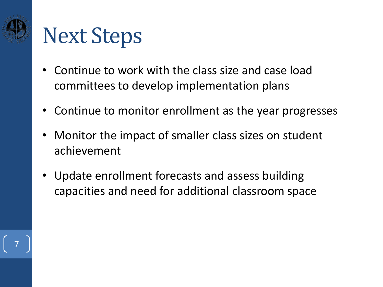

## Next Steps

- Continue to work with the class size and case load committees to develop implementation plans
- Continue to monitor enrollment as the year progresses
- Monitor the impact of smaller class sizes on student achievement
- Update enrollment forecasts and assess building capacities and need for additional classroom space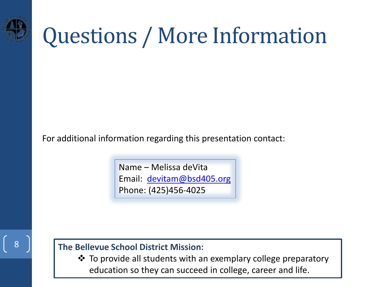

## Questions / More Information

For additional information regarding this presentation contact:

Name – Melissa deVita Email: [devitam@bsd405.org](mailto:devitam@bsd405.org) Phone: (425)456-4025

## 8

**The Bellevue School District Mission:** 

 To provide all students with an exemplary college preparatory education so they can succeed in college, career and life.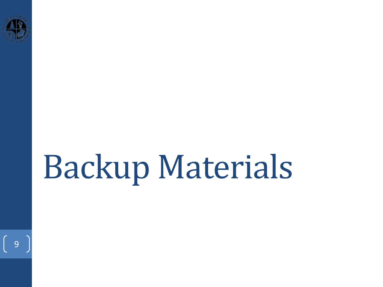

 $\begin{bmatrix} 9 \end{bmatrix}$ 

# Backup Materials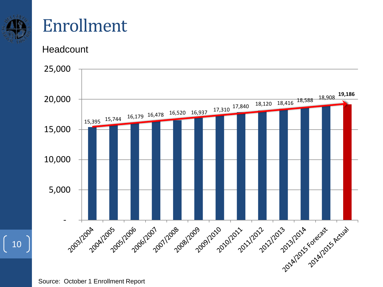

 $\begin{bmatrix} 10 \end{bmatrix}$ 

## Enrollment

**Headcount** 

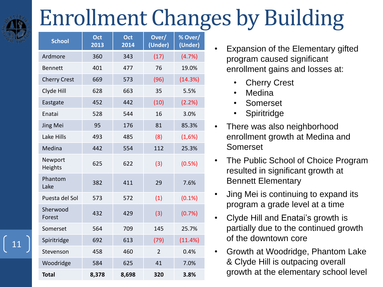# Enrollment Changes by Building

| <b>School</b>       | Oct<br>2013 | Oct<br>2014 | Over/<br>(Under) | % Over/<br>(Under) |
|---------------------|-------------|-------------|------------------|--------------------|
| Ardmore             | 360         | 343         | (17)             | (4.7%)             |
| <b>Bennett</b>      | 401         | 477         | 76               | 19.0%              |
| <b>Cherry Crest</b> | 669         | 573         | (96)             | (14.3%)            |
| Clyde Hill          | 628         | 663         | 35               | 5.5%               |
| Eastgate            | 452         | 442         | (10)             | (2.2%)             |
| Enatai              | 528         | 544         | 16               | 3.0%               |
| Jing Mei            | 95          | 176         | 81               | 85.3%              |
| Lake Hills          | 493         | 485         | (8)              | (1,6%)             |
| Medina              | 442         | 554         | 112              | 25.3%              |
| Newport<br>Heights  | 625         | 622         | (3)              | (0.5%)             |
| Phantom<br>Lake     | 382         | 411         | 29               | 7.6%               |
| Puesta del Sol      | 573         | 572         | (1)              | (0.1%)             |
| Sherwood<br>Forest  | 432         | 429         | (3)              | (0.7%)             |
| Somerset            | 564         | 709         | 145              | 25.7%              |
| Spiritridge         | 692         | 613         | (79)             | (11.4%)            |
| Stevenson           | 458         | 460         | $\overline{2}$   | 0.4%               |
| Woodridge           | 584         | 625         | 41               | 7.0%               |
| <b>Total</b>        | 8,378       | 8,698       | 320              | 3.8%               |

- Expansion of the Elementary gifted program caused significant enrollment gains and losses at:
	- **Cherry Crest**
	- Medina
	- **Somerset**
	- **Spiritridge**
- There was also neighborhood enrollment growth at Medina and Somerset
- The Public School of Choice Program resulted in significant growth at Bennett Elementary
- Jing Mei is continuing to expand its program a grade level at a time
- Clyde Hill and Enatai's growth is partially due to the continued growth of the downtown core
- Growth at Woodridge, Phantom Lake & Clyde Hill is outpacing overall growth at the elementary school level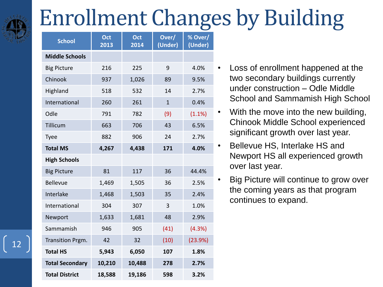## Enrollment Changes by Building

| <b>School</b>          | Oct<br>2013 | Oct<br>2014 | Over/<br>(Under) | % Over/<br>(Under) |  |
|------------------------|-------------|-------------|------------------|--------------------|--|
| <b>Middle Schools</b>  |             |             |                  |                    |  |
| <b>Big Picture</b>     | 216         | 225         | 9                | 4.0%               |  |
| Chinook                | 937         | 1,026       | 89               | 9.5%               |  |
| Highland               | 518         | 532         | 14               | 2.7%               |  |
| International          | 260         | 261         | $\mathbf{1}$     | 0.4%               |  |
| Odle                   | 791         | 782         | (9)              | (1.1%)             |  |
| Tillicum               | 663         | 706         | 43               | 6.5%               |  |
| <b>Tyee</b>            | 882         | 906         | 24               | 2.7%               |  |
| <b>Total MS</b>        | 4,267       | 4,438       | 171              | 4.0%               |  |
| <b>High Schools</b>    |             |             |                  |                    |  |
| <b>Big Picture</b>     | 81          | 117         | 36               | 44.4%              |  |
| <b>Bellevue</b>        | 1,469       | 1,505       | 36               | 2.5%               |  |
| Interlake              | 1,468       | 1,503       | 35               | 2.4%               |  |
| International          | 304         | 307         | 3                | 1.0%               |  |
| Newport                | 1,633       | 1,681       | 48               | 2.9%               |  |
| Sammamish              | 946         | 905         | (41)             | (4.3%)             |  |
| Transition Prgm.       | 42          | 32          | (10)             | (23.9%)            |  |
| <b>Total HS</b>        | 5,943       | 6,050       | 107              | 1.8%               |  |
| <b>Total Secondary</b> | 10,210      | 10,488      | 278              | 2.7%               |  |
| <b>Total District</b>  | 18,588      | 19,186      | 598              | 3.2%               |  |

- Loss of enrollment happened at the two secondary buildings currently under construction – Odle Middle School and Sammamish High School
- With the move into the new building, Chinook Middle School experienced significant growth over last year.
- Bellevue HS, Interlake HS and Newport HS all experienced growth over last year.
- Big Picture will continue to grow over the coming years as that program continues to expand.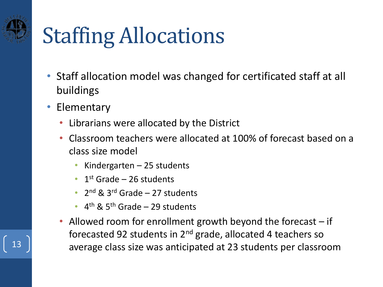# Staffing Allocations

- Staff allocation model was changed for certificated staff at all buildings
- Elementary
	- Librarians were allocated by the District
	- Classroom teachers were allocated at 100% of forecast based on a class size model
		- Kindergarten 25 students
		- 1st Grade  $-$  26 students
		- $2^{nd}$  & 3<sup>rd</sup> Grade 27 students
		- $\cdot$  4<sup>th</sup> & 5<sup>th</sup> Grade 29 students
- Allowed room for enrollment growth beyond the forecast if forecasted 92 students in  $2<sup>nd</sup>$  grade, allocated 4 teachers so  $\begin{array}{c|c} 13 \end{array}$  average class size was anticipated at 23 students per classroom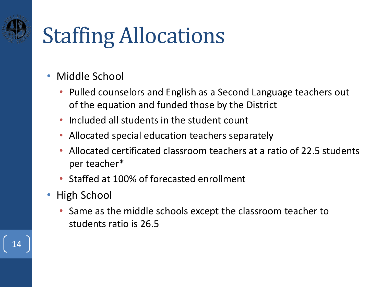# Staffing Allocations

- Middle School
	- Pulled counselors and English as a Second Language teachers out of the equation and funded those by the District
	- Included all students in the student count
	- Allocated special education teachers separately
	- Allocated certificated classroom teachers at a ratio of 22.5 students per teacher\*
	- Staffed at 100% of forecasted enrollment
- High School
	- Same as the middle schools except the classroom teacher to students ratio is 26.5

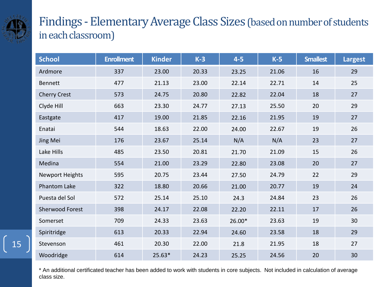

## Findings - Elementary Average Class Sizes (based on number of students in each classroom)

| <b>School</b>          | <b>Enrollment</b> | <b>Kinder</b> | $K-3$ | $4-5$  | $K-5$ | <b>Smallest</b> | Largest |
|------------------------|-------------------|---------------|-------|--------|-------|-----------------|---------|
| Ardmore                | 337               | 23.00         | 20.33 | 23.25  | 21.06 | 16              | 29      |
| <b>Bennett</b>         | 477               | 21.13         | 23.00 | 22.14  | 22.71 | 14              | 25      |
| <b>Cherry Crest</b>    | 573               | 24.75         | 20.80 | 22.82  | 22.04 | 18              | 27      |
| Clyde Hill             | 663               | 23.30         | 24.77 | 27.13  | 25.50 | 20              | 29      |
| Eastgate               | 417               | 19.00         | 21.85 | 22.16  | 21.95 | 19              | 27      |
| Enatai                 | 544               | 18.63         | 22.00 | 24.00  | 22.67 | 19              | 26      |
| Jing Mei               | 176               | 23.67         | 25.14 | N/A    | N/A   | 23              | 27      |
| Lake Hills             | 485               | 23.50         | 20.81 | 21.70  | 21.09 | 15              | 26      |
| Medina                 | 554               | 21.00         | 23.29 | 22.80  | 23.08 | 20              | 27      |
| Newport Heights        | 595               | 20.75         | 23.44 | 27.50  | 24.79 | 22              | 29      |
| <b>Phantom Lake</b>    | 322               | 18.80         | 20.66 | 21.00  | 20.77 | 19              | 24      |
| Puesta del Sol         | 572               | 25.14         | 25.10 | 24.3   | 24.84 | 23              | 26      |
| <b>Sherwood Forest</b> | 398               | 24.17         | 22.08 | 22.20  | 22.11 | 17              | 26      |
| Somerset               | 709               | 24.33         | 23.63 | 26.00* | 23.63 | 19              | 30      |
| Spiritridge            | 613               | 20.33         | 22.94 | 24.60  | 23.58 | 18              | 29      |
| Stevenson              | 461               | 20.30         | 22.00 | 21.8   | 21.95 | 18              | 27      |
| Woodridge              | 614               | $25.63*$      | 24.23 | 25.25  | 24.56 | 20              | 30      |

\* An additional certificated teacher has been added to work with students in core subjects. Not included in calculation of average class size.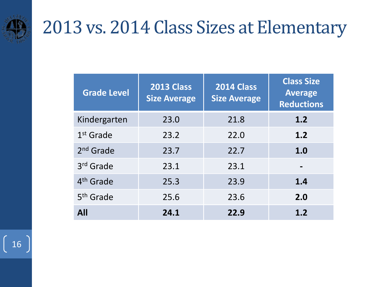

## 2013 vs. 2014 Class Sizes at Elementary

| <b>Grade Level</b>    | <b>2013 Class</b><br><b>Size Average</b> | <b>2014 Class</b><br><b>Size Average</b> |     |
|-----------------------|------------------------------------------|------------------------------------------|-----|
| Kindergarten          | 23.0                                     | 21.8                                     | 1.2 |
| $1st$ Grade           | 23.2                                     | 22.0                                     | 1.2 |
| $2nd$ Grade           | 23.7                                     | 22.7                                     | 1.0 |
| 3 <sup>rd</sup> Grade | 23.1                                     | 23.1                                     | -   |
| 4 <sup>th</sup> Grade | 25.3                                     | 23.9                                     | 1.4 |
| 5 <sup>th</sup> Grade | 25.6                                     | 23.6                                     | 2.0 |
| <b>All</b>            | 24.1                                     | 22.9                                     | 1.2 |